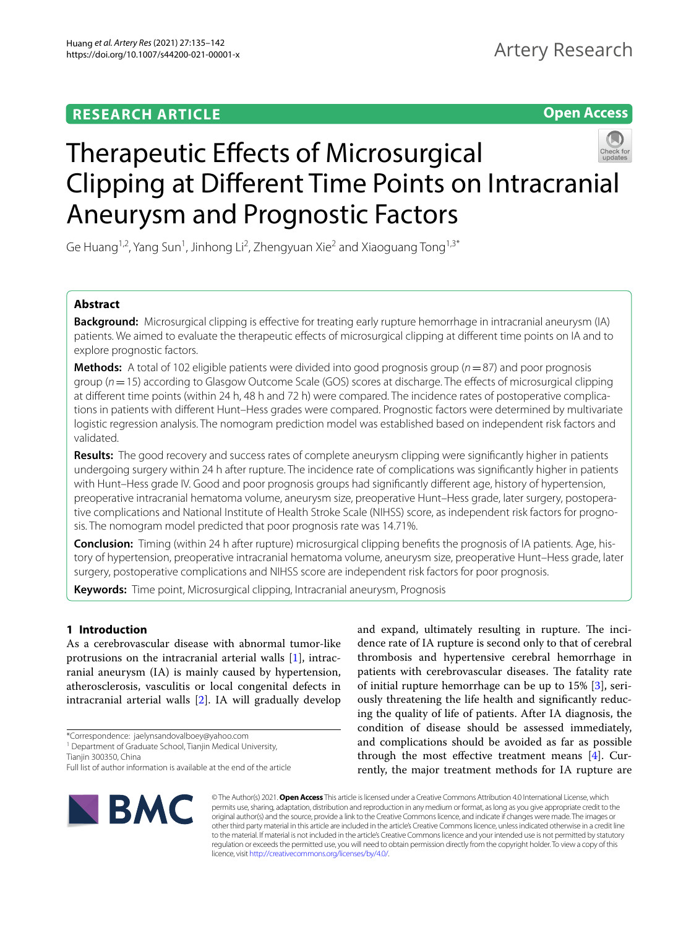# **RESEARCH ARTICLE**

**Open Access**



Ge Huang<sup>1,2</sup>, Yang Sun<sup>1</sup>, Jinhong Li<sup>2</sup>, Zhengyuan Xie<sup>2</sup> and Xiaoguang Tong<sup>1,3\*</sup>

# **Abstract**

**Background:** Microsurgical clipping is efective for treating early rupture hemorrhage in intracranial aneurysm (IA) patients. We aimed to evaluate the therapeutic efects of microsurgical clipping at diferent time points on IA and to explore prognostic factors.

**Methods:** A total of 102 eligible patients were divided into good prognosis group (*n*=87) and poor prognosis group (*n*=15) according to Glasgow Outcome Scale (GOS) scores at discharge. The efects of microsurgical clipping at diferent time points (within 24 h, 48 h and 72 h) were compared. The incidence rates of postoperative complications in patients with diferent Hunt–Hess grades were compared. Prognostic factors were determined by multivariate logistic regression analysis. The nomogram prediction model was established based on independent risk factors and validated.

**Results:** The good recovery and success rates of complete aneurysm clipping were signifcantly higher in patients undergoing surgery within 24 h after rupture. The incidence rate of complications was signifcantly higher in patients with Hunt–Hess grade IV. Good and poor prognosis groups had signifcantly diferent age, history of hypertension, preoperative intracranial hematoma volume, aneurysm size, preoperative Hunt–Hess grade, later surgery, postoperative complications and National Institute of Health Stroke Scale (NIHSS) score, as independent risk factors for prognosis. The nomogram model predicted that poor prognosis rate was 14.71%.

**Conclusion:** Timing (within 24 h after rupture) microsurgical clipping benefts the prognosis of IA patients. Age, history of hypertension, preoperative intracranial hematoma volume, aneurysm size, preoperative Hunt–Hess grade, later surgery, postoperative complications and NIHSS score are independent risk factors for poor prognosis.

**Keywords:** Time point, Microsurgical clipping, Intracranial aneurysm, Prognosis

# **1 Introduction**

As a cerebrovascular disease with abnormal tumor-like protrusions on the intracranial arterial walls [\[1](#page-6-0)], intracranial aneurysm (IA) is mainly caused by hypertension, atherosclerosis, vasculitis or local congenital defects in intracranial arterial walls [\[2](#page-6-1)]. IA will gradually develop

Tianjin 300350, China

and expand, ultimately resulting in rupture. The incidence rate of IA rupture is second only to that of cerebral thrombosis and hypertensive cerebral hemorrhage in patients with cerebrovascular diseases. The fatality rate of initial rupture hemorrhage can be up to 15% [[3\]](#page-6-2), seriously threatening the life health and signifcantly reducing the quality of life of patients. After IA diagnosis, the condition of disease should be assessed immediately, and complications should be avoided as far as possible through the most effective treatment means  $[4]$  $[4]$ . Currently, the major treatment methods for IA rupture are



© The Author(s) 2021. **Open Access** This article is licensed under a Creative Commons Attribution 4.0 International License, which permits use, sharing, adaptation, distribution and reproduction in any medium or format, as long as you give appropriate credit to the original author(s) and the source, provide a link to the Creative Commons licence, and indicate if changes were made. The images or other third party material in this article are included in the article's Creative Commons licence, unless indicated otherwise in a credit line to the material. If material is not included in the article's Creative Commons licence and your intended use is not permitted by statutory regulation or exceeds the permitted use, you will need to obtain permission directly from the copyright holder. To view a copy of this licence, visit [http://creativecommons.org/licenses/by/4.0/.](http://creativecommons.org/licenses/by/4.0/)

<sup>\*</sup>Correspondence: jaelynsandovalboey@yahoo.com

<sup>&</sup>lt;sup>1</sup> Department of Graduate School, Tianjin Medical University,

Full list of author information is available at the end of the article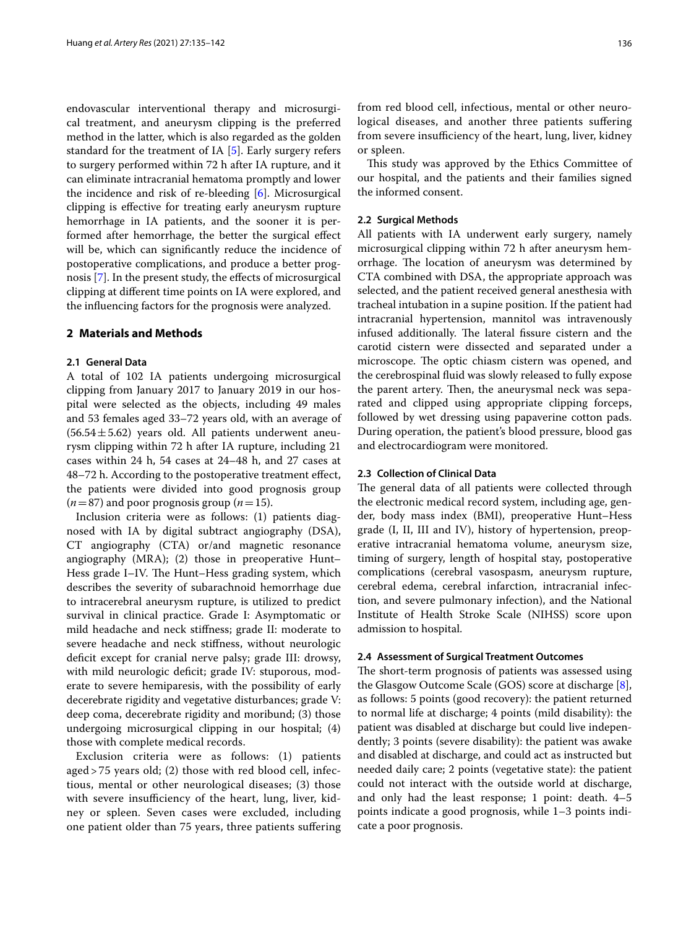endovascular interventional therapy and microsurgical treatment, and aneurysm clipping is the preferred method in the latter, which is also regarded as the golden standard for the treatment of IA [\[5\]](#page-6-4). Early surgery refers to surgery performed within 72 h after IA rupture, and it can eliminate intracranial hematoma promptly and lower the incidence and risk of re-bleeding [[6](#page-6-5)]. Microsurgical clipping is efective for treating early aneurysm rupture hemorrhage in IA patients, and the sooner it is performed after hemorrhage, the better the surgical efect will be, which can signifcantly reduce the incidence of postoperative complications, and produce a better prognosis [\[7\]](#page-6-6). In the present study, the efects of microsurgical clipping at diferent time points on IA were explored, and the infuencing factors for the prognosis were analyzed.

# **2 Materials and Methods**

# **2.1 General Data**

A total of 102 IA patients undergoing microsurgical clipping from January 2017 to January 2019 in our hospital were selected as the objects, including 49 males and 53 females aged 33–72 years old, with an average of  $(56.54 \pm 5.62)$  years old. All patients underwent aneurysm clipping within 72 h after IA rupture, including 21 cases within 24 h, 54 cases at 24–48 h, and 27 cases at 48–72 h. According to the postoperative treatment efect, the patients were divided into good prognosis group  $(n=87)$  and poor prognosis group  $(n=15)$ .

Inclusion criteria were as follows: (1) patients diagnosed with IA by digital subtract angiography (DSA), CT angiography (CTA) or/and magnetic resonance angiography (MRA); (2) those in preoperative Hunt– Hess grade I–IV. The Hunt–Hess grading system, which describes the severity of subarachnoid hemorrhage due to intracerebral aneurysm rupture, is utilized to predict survival in clinical practice. Grade I: Asymptomatic or mild headache and neck stifness; grade II: moderate to severe headache and neck stifness, without neurologic deficit except for cranial nerve palsy; grade III: drowsy, with mild neurologic deficit; grade IV: stuporous, moderate to severe hemiparesis, with the possibility of early decerebrate rigidity and vegetative disturbances; grade V: deep coma, decerebrate rigidity and moribund; (3) those undergoing microsurgical clipping in our hospital; (4) those with complete medical records.

Exclusion criteria were as follows: (1) patients aged > 75 years old; (2) those with red blood cell, infectious, mental or other neurological diseases; (3) those with severe insufficiency of the heart, lung, liver, kidney or spleen. Seven cases were excluded, including one patient older than 75 years, three patients sufering from red blood cell, infectious, mental or other neurological diseases, and another three patients suffering from severe insufficiency of the heart, lung, liver, kidney or spleen.

This study was approved by the Ethics Committee of our hospital, and the patients and their families signed the informed consent.

# **2.2 Surgical Methods**

All patients with IA underwent early surgery, namely microsurgical clipping within 72 h after aneurysm hemorrhage. The location of aneurysm was determined by CTA combined with DSA, the appropriate approach was selected, and the patient received general anesthesia with tracheal intubation in a supine position. If the patient had intracranial hypertension, mannitol was intravenously infused additionally. The lateral fissure cistern and the carotid cistern were dissected and separated under a microscope. The optic chiasm cistern was opened, and the cerebrospinal fuid was slowly released to fully expose the parent artery. Then, the aneurysmal neck was separated and clipped using appropriate clipping forceps, followed by wet dressing using papaverine cotton pads. During operation, the patient's blood pressure, blood gas and electrocardiogram were monitored.

# **2.3 Collection of Clinical Data**

The general data of all patients were collected through the electronic medical record system, including age, gender, body mass index (BMI), preoperative Hunt–Hess grade (I, II, III and IV), history of hypertension, preoperative intracranial hematoma volume, aneurysm size, timing of surgery, length of hospital stay, postoperative complications (cerebral vasospasm, aneurysm rupture, cerebral edema, cerebral infarction, intracranial infection, and severe pulmonary infection), and the National Institute of Health Stroke Scale (NIHSS) score upon admission to hospital.

## **2.4 Assessment of Surgical Treatment Outcomes**

The short-term prognosis of patients was assessed using the Glasgow Outcome Scale (GOS) score at discharge [\[8](#page-6-7)], as follows: 5 points (good recovery): the patient returned to normal life at discharge; 4 points (mild disability): the patient was disabled at discharge but could live independently; 3 points (severe disability): the patient was awake and disabled at discharge, and could act as instructed but needed daily care; 2 points (vegetative state): the patient could not interact with the outside world at discharge, and only had the least response; 1 point: death. 4–5 points indicate a good prognosis, while 1–3 points indicate a poor prognosis.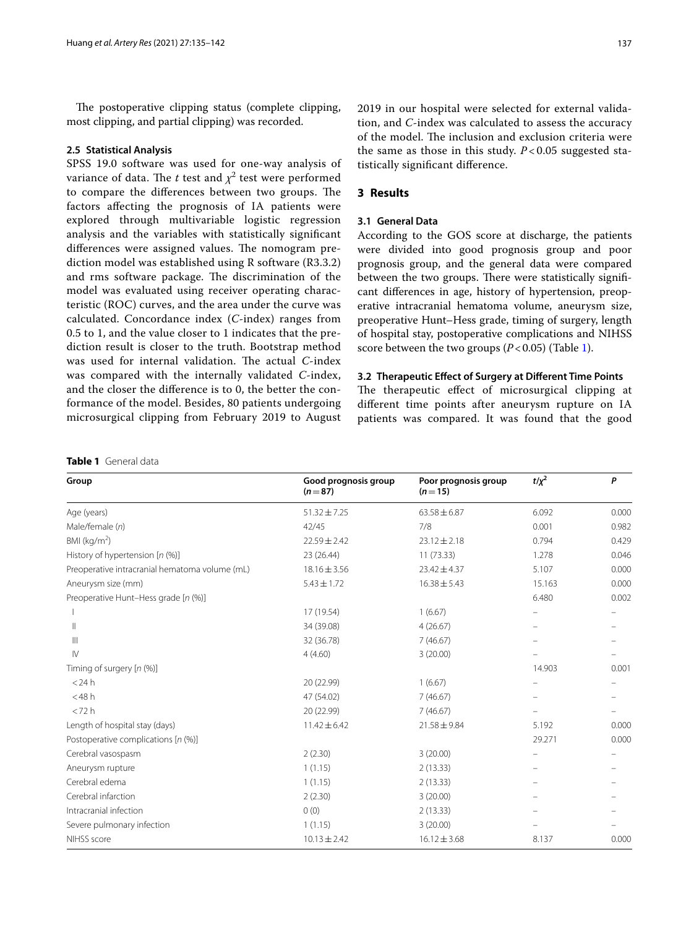The postoperative clipping status (complete clipping, most clipping, and partial clipping) was recorded.

### **2.5 Statistical Analysis**

SPSS 19.0 software was used for one-way analysis of variance of data. The  $t$  test and  $\chi^2$  test were performed to compare the differences between two groups. The factors afecting the prognosis of IA patients were explored through multivariable logistic regression analysis and the variables with statistically signifcant differences were assigned values. The nomogram prediction model was established using R software (R3.3.2) and rms software package. The discrimination of the model was evaluated using receiver operating characteristic (ROC) curves, and the area under the curve was calculated. Concordance index (*C*-index) ranges from 0.5 to 1, and the value closer to 1 indicates that the prediction result is closer to the truth. Bootstrap method was used for internal validation. The actual *C*-index was compared with the internally validated *C*-index, and the closer the diference is to 0, the better the conformance of the model. Besides, 80 patients undergoing microsurgical clipping from February 2019 to August

### <span id="page-2-0"></span>**Table 1** General data

2019 in our hospital were selected for external validation, and *C*-index was calculated to assess the accuracy of the model. The inclusion and exclusion criteria were the same as those in this study. *P* < 0.05 suggested statistically signifcant diference.

# **3 Results**

# **3.1 General Data**

According to the GOS score at discharge, the patients were divided into good prognosis group and poor prognosis group, and the general data were compared between the two groups. There were statistically significant diferences in age, history of hypertension, preoperative intracranial hematoma volume, aneurysm size, preoperative Hunt–Hess grade, timing of surgery, length of hospital stay, postoperative complications and NIHSS score between the two groups  $(P<0.05)$  (Table [1\)](#page-2-0).

### **3.2 Therapeutic Efect of Surgery at Diferent Time Points**

The therapeutic effect of microsurgical clipping at diferent time points after aneurysm rupture on IA patients was compared. It was found that the good

| Group                                          | Good prognosis group<br>$(n=87)$ | Poor prognosis group<br>$(n=15)$ | $t/x^2$ | P     |
|------------------------------------------------|----------------------------------|----------------------------------|---------|-------|
| Age (years)                                    | $51.32 \pm 7.25$                 | $63.58 \pm 6.87$                 | 6.092   | 0.000 |
| Male/female (n)                                | 42/45                            | 7/8                              | 0.001   | 0.982 |
| BMI ( $kg/m2$ )                                | $22.59 \pm 2.42$                 | $23.12 \pm 2.18$                 | 0.794   | 0.429 |
| History of hypertension $[n \, (\%)]$          | 23 (26.44)                       | 11(73.33)                        | 1.278   | 0.046 |
| Preoperative intracranial hematoma volume (mL) | $18.16 \pm 3.56$                 | $23.42 \pm 4.37$                 | 5.107   | 0.000 |
| Aneurysm size (mm)                             | $5.43 \pm 1.72$                  | $16.38 \pm 5.43$                 | 15.163  | 0.000 |
| Preoperative Hunt-Hess grade [n (%)]           |                                  |                                  | 6.480   | 0.002 |
|                                                | 17 (19.54)                       | 1(6.67)                          |         |       |
| Ш                                              | 34 (39.08)                       | 4(26.67)                         |         |       |
| $\mathbb{H}$                                   | 32 (36.78)                       | 7(46.67)                         |         |       |
| $\mathsf{IV}$                                  | 4(4.60)                          | 3(20.00)                         |         |       |
| Timing of surgery [n (%)]                      |                                  |                                  | 14.903  | 0.001 |
| $<$ 24 $h$                                     | 20 (22.99)                       | 1(6.67)                          |         |       |
| $<$ 48 $h$                                     | 47 (54.02)                       | 7(46.67)                         |         |       |
| < 72 h                                         | 20 (22.99)                       | 7(46.67)                         |         |       |
| Length of hospital stay (days)                 | $11.42 \pm 6.42$                 | $21.58 \pm 9.84$                 | 5.192   | 0.000 |
| Postoperative complications [n (%)]            |                                  |                                  | 29.271  | 0.000 |
| Cerebral vasospasm                             | 2(2.30)                          | 3(20.00)                         |         |       |
| Aneurysm rupture                               | 1(1.15)                          | 2(13.33)                         |         |       |
| Cerebral edema                                 | 1(1.15)                          | 2(13.33)                         |         |       |
| Cerebral infarction                            | 2(2.30)                          | 3(20.00)                         |         |       |
| Intracranial infection                         | 0(0)                             | 2(13.33)                         |         |       |
| Severe pulmonary infection                     | 1(1.15)                          | 3(20.00)                         |         |       |
| NIHSS score                                    | $10.13 \pm 2.42$                 | $16.12 \pm 3.68$                 | 8.137   | 0.000 |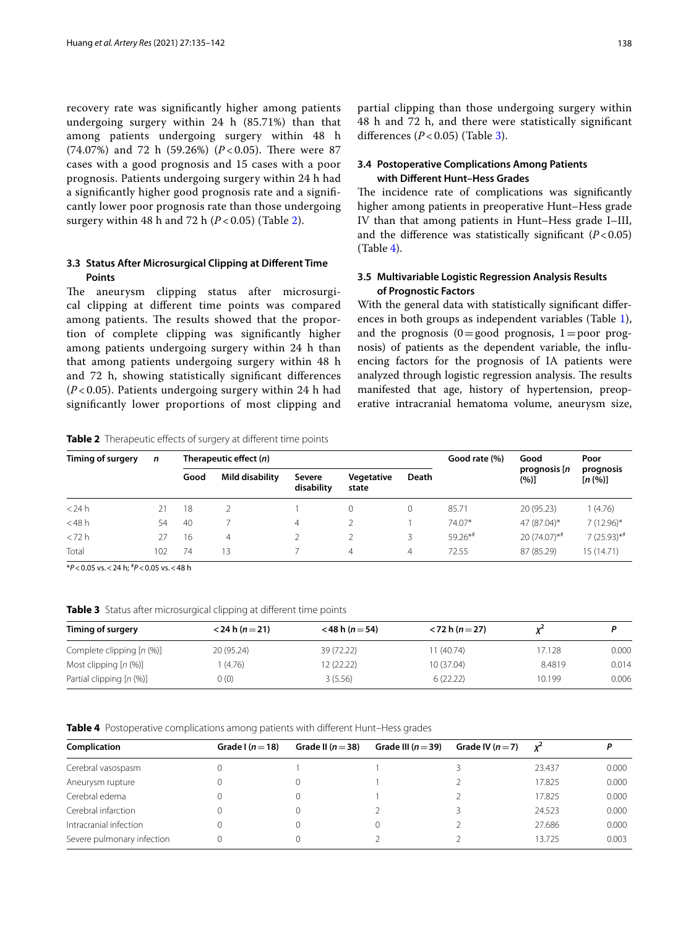recovery rate was signifcantly higher among patients undergoing surgery within 24 h (85.71%) than that among patients undergoing surgery within 48 h  $(74.07%)$  and 72 h  $(59.26%)$   $(P<0.05)$ . There were 87 cases with a good prognosis and 15 cases with a poor prognosis. Patients undergoing surgery within 24 h had a signifcantly higher good prognosis rate and a signifcantly lower poor prognosis rate than those undergoing surgery within 48 h and 72 h (*P* < 0.05) (Table [2\)](#page-3-0).

# **3.3 Status After Microsurgical Clipping at Diferent Time Points**

The aneurysm clipping status after microsurgical clipping at diferent time points was compared among patients. The results showed that the proportion of complete clipping was signifcantly higher among patients undergoing surgery within 24 h than that among patients undergoing surgery within 48 h and 72 h, showing statistically signifcant diferences (*P* < 0.05). Patients undergoing surgery within 24 h had signifcantly lower proportions of most clipping and partial clipping than those undergoing surgery within 48 h and 72 h, and there were statistically signifcant diferences (*P* < 0.05) (Table [3](#page-3-1)).

# **3.4 Postoperative Complications Among Patients with Diferent Hunt–Hess Grades**

The incidence rate of complications was significantly higher among patients in preoperative Hunt–Hess grade IV than that among patients in Hunt–Hess grade I–III, and the difference was statistically significant  $(P<0.05)$ (Table [4\)](#page-3-2).

# **3.5 Multivariable Logistic Regression Analysis Results of Prognostic Factors**

With the general data with statistically signifcant diferences in both groups as independent variables (Table [1](#page-2-0)), and the prognosis  $(0=$  good prognosis,  $1=$  poor prognosis) of patients as the dependent variable, the infuencing factors for the prognosis of IA patients were analyzed through logistic regression analysis. The results manifested that age, history of hypertension, preoperative intracranial hematoma volume, aneurysm size,

<span id="page-3-0"></span>**Table 2** Therapeutic effects of surgery at different time points

| Timing of surgery | $\mathsf{n}$ | Therapeutic effect $(n)$ |                 |                      |                     |       | Good rate (%) | Good                       | Poor                      |
|-------------------|--------------|--------------------------|-----------------|----------------------|---------------------|-------|---------------|----------------------------|---------------------------|
|                   |              | Good                     | Mild disability | Severe<br>disability | Vegetative<br>state | Death |               | prognosis [n<br>(%)]       | prognosis<br>[n (%)]      |
| $<$ 24 h          | 21           | 18                       |                 |                      |                     |       | 85.71         | 20 (95.23)                 | 1(4.76)                   |
| $<$ 48 h          | 54           | 40                       |                 | 4                    |                     |       | 74.07*        | 47 (87.04)*                | $7(12.96)^*$              |
| < 72 h            | 27           | 16                       | 4               |                      |                     |       | $59.26**$     | $20(74.07)$ * <sup>#</sup> | $7(25.93)$ * <sup>#</sup> |
| Total             | 102          | 74                       | 13              |                      | 4                   | 4     | 72.55         | 87 (85.29)                 | 15(14.71)                 |

\**P*<0.05 vs.<24 h; # *P*<0.05 vs.<48 h

<span id="page-3-1"></span>**Table 3** Status after microsurgical clipping at diferent time points

| Timing of surgery         | $<$ 24 h (n = 21) | $<$ 48 h (n = 54) | $<$ 72 h (n = 27) |        |       |
|---------------------------|-------------------|-------------------|-------------------|--------|-------|
| Complete clipping [n (%)] | 20 (95.24)        | 39 (72.22)        | 1(40.74)          | 17.128 | 0.000 |
| Most clipping $[n (%)]$   | (4.76)            | 12 (22.22)        | 10 (37.04)        | 8.4819 | 0.014 |
| Partial clipping [n (%)]  | (0)               | 3(5.56)           | 6(22.22)          | 10.199 | 0.006 |

<span id="page-3-2"></span>**Table 4** Postoperative complications among patients with diferent Hunt–Hess grades

| Complication               | Grade $(n=18)$ | Grade II $(n=38)$ | Grade III ( $n = 39$ ) | Grade IV $(n=7)$ | $\mathbf{x}^2$ |       |
|----------------------------|----------------|-------------------|------------------------|------------------|----------------|-------|
| Cerebral vasospasm         |                |                   |                        |                  | 23.437         | 0.000 |
| Aneurysm rupture           |                |                   |                        |                  | 17.825         | 0.000 |
| Cerebral edema             |                |                   |                        |                  | 17.825         | 0.000 |
| Cerebral infarction        |                |                   |                        |                  | 24.523         | 0.000 |
| Intracranial infection     |                |                   |                        |                  | 27.686         | 0.000 |
| Severe pulmonary infection |                |                   |                        |                  | 13.725         | 0.003 |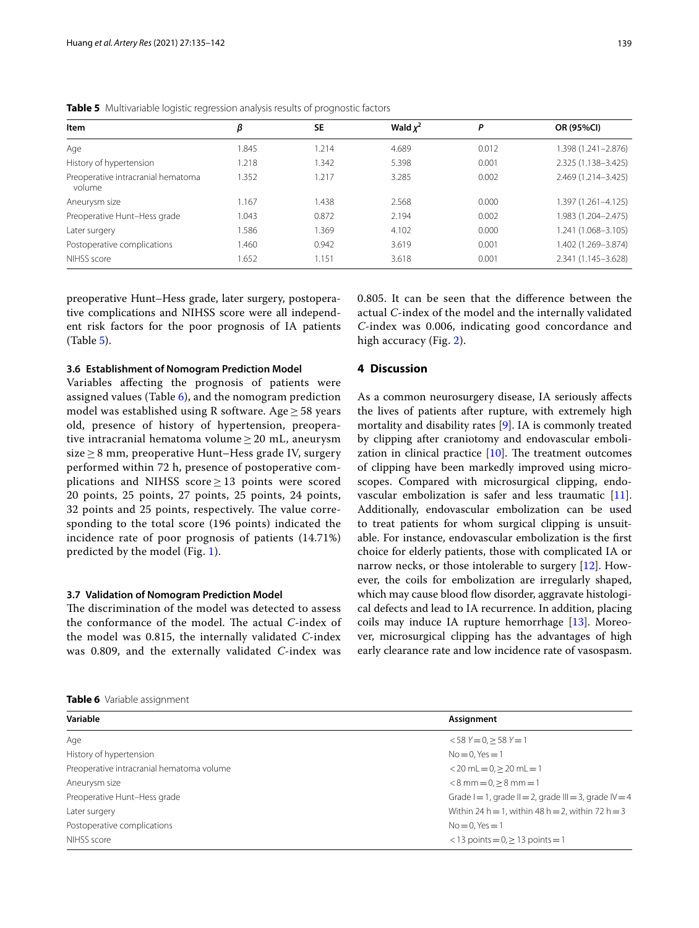| Item                                         | β     | <b>SE</b> | Wald $x^2$ | P     | OR (95%CI)          |
|----------------------------------------------|-------|-----------|------------|-------|---------------------|
| Age                                          | 1.845 | 1.214     | 4.689      | 0.012 | 1.398 (1.241–2.876) |
| History of hypertension                      | 1.218 | .342      | 5.398      | 0.001 | 2.325 (1.138-3.425) |
| Preoperative intracranial hematoma<br>volume | 1.352 | 1.217     | 3.285      | 0.002 | 2.469 (1.214-3.425) |
| Aneurysm size                                | 1.167 | 1.438     | 2.568      | 0.000 | 1.397 (1.261–4.125) |
| Preoperative Hunt-Hess grade                 | 1.043 | 0.872     | 2.194      | 0.002 | 1.983 (1.204-2.475) |
| Later surgery                                | 1.586 | 1.369     | 4.102      | 0.000 | 1.241 (1.068-3.105) |
| Postoperative complications                  | 1.460 | 0.942     | 3.619      | 0.001 | 1.402 (1.269-3.874) |
| NIHSS score                                  | 1.652 | 1.151     | 3.618      | 0.001 | 2.341 (1.145-3.628) |

<span id="page-4-0"></span>**Table 5** Multivariable logistic regression analysis results of prognostic factors

preoperative Hunt–Hess grade, later surgery, postoperative complications and NIHSS score were all independent risk factors for the poor prognosis of IA patients (Table [5](#page-4-0)).

**3.6 Establishment of Nomogram Prediction Model**

Variables afecting the prognosis of patients were assigned values (Table [6\)](#page-4-1), and the nomogram prediction model was established using R software. Age≥ 58 years old, presence of history of hypertension, preoperative intracranial hematoma volume  $\geq 20$  mL, aneurysm size  $\geq$  8 mm, preoperative Hunt–Hess grade IV, surgery performed within 72 h, presence of postoperative complications and NIHSS score  $> 13$  points were scored 20 points, 25 points, 27 points, 25 points, 24 points, 32 points and 25 points, respectively. The value corresponding to the total score (196 points) indicated the incidence rate of poor prognosis of patients (14.71%) predicted by the model (Fig. [1\)](#page-5-0).

# **3.7 Validation of Nomogram Prediction Model**

The discrimination of the model was detected to assess the conformance of the model. The actual *C*-index of the model was 0.815, the internally validated *C*-index was 0.809, and the externally validated *C*-index was

<span id="page-4-1"></span>

|  | Table 6 Variable assignment |
|--|-----------------------------|
|  |                             |

0.805. It can be seen that the diference between the actual *C*-index of the model and the internally validated *C*-index was 0.006, indicating good concordance and high accuracy (Fig. [2\)](#page-5-1).

# **4 Discussion**

As a common neurosurgery disease, IA seriously afects the lives of patients after rupture, with extremely high mortality and disability rates [\[9](#page-6-8)]. IA is commonly treated by clipping after craniotomy and endovascular embolization in clinical practice  $[10]$  $[10]$ . The treatment outcomes of clipping have been markedly improved using microscopes. Compared with microsurgical clipping, endovascular embolization is safer and less traumatic [\[11](#page-7-1)]. Additionally, endovascular embolization can be used to treat patients for whom surgical clipping is unsuitable. For instance, endovascular embolization is the frst choice for elderly patients, those with complicated IA or narrow necks, or those intolerable to surgery [\[12\]](#page-7-2). However, the coils for embolization are irregularly shaped, which may cause blood flow disorder, aggravate histological defects and lead to IA recurrence. In addition, placing coils may induce IA rupture hemorrhage [[13\]](#page-7-3). Moreover, microsurgical clipping has the advantages of high early clearance rate and low incidence rate of vasospasm.

| Variable                                  | Assignment                                                        |
|-------------------------------------------|-------------------------------------------------------------------|
| Age                                       | $<$ 58 Y = 0, $>$ 58 Y = 1                                        |
| History of hypertension                   | $No = 0.$ Yes $= 1$                                               |
| Preoperative intracranial hematoma volume | $<$ 20 mL = 0, $>$ 20 mL = 1                                      |
| Aneurysm size                             | $< 8$ mm $= 0. > 8$ mm $= 1$                                      |
| Preoperative Hunt-Hess grade              | Grade $I = 1$ , grade $II = 2$ , grade $III = 3$ , grade $IV = 4$ |
| Later surgery                             | Within 24 h = 1, within 48 h = 2, within 72 h = 3                 |
| Postoperative complications               | $No = 0.$ Yes $= 1$                                               |
| NIHSS score                               | $<$ 13 points = 0, $\geq$ 13 points = 1                           |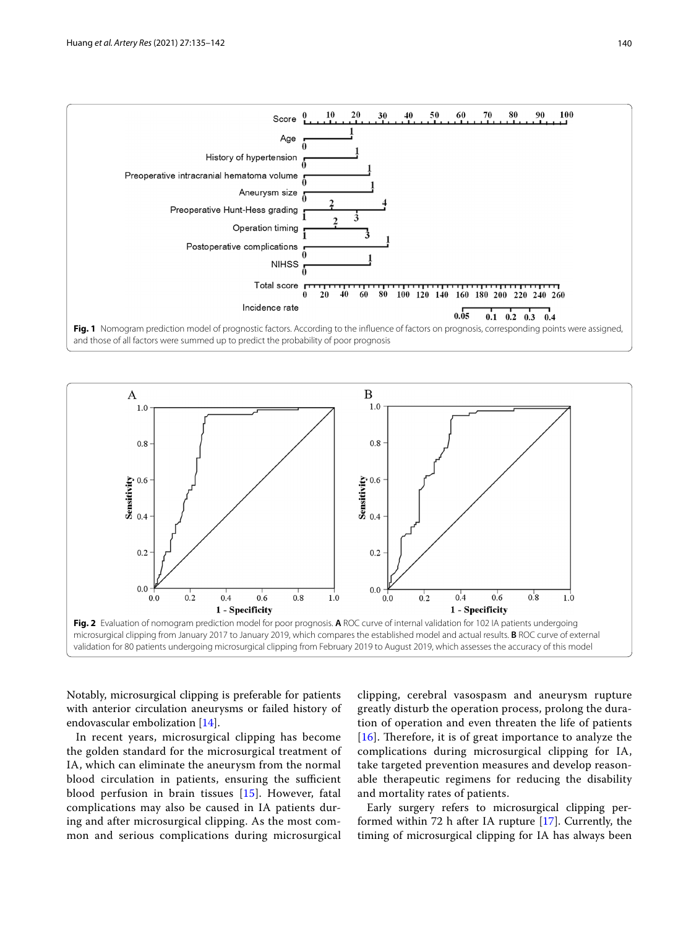

<span id="page-5-0"></span>

<span id="page-5-1"></span>Notably, microsurgical clipping is preferable for patients with anterior circulation aneurysms or failed history of endovascular embolization [\[14](#page-7-4)].

In recent years, microsurgical clipping has become the golden standard for the microsurgical treatment of IA, which can eliminate the aneurysm from the normal blood circulation in patients, ensuring the sufficient blood perfusion in brain tissues [\[15](#page-7-5)]. However, fatal complications may also be caused in IA patients during and after microsurgical clipping. As the most common and serious complications during microsurgical clipping, cerebral vasospasm and aneurysm rupture greatly disturb the operation process, prolong the duration of operation and even threaten the life of patients [ $16$ ]. Therefore, it is of great importance to analyze the complications during microsurgical clipping for IA, take targeted prevention measures and develop reasonable therapeutic regimens for reducing the disability and mortality rates of patients.

Early surgery refers to microsurgical clipping performed within 72 h after IA rupture [[17](#page-7-7)]. Currently, the timing of microsurgical clipping for IA has always been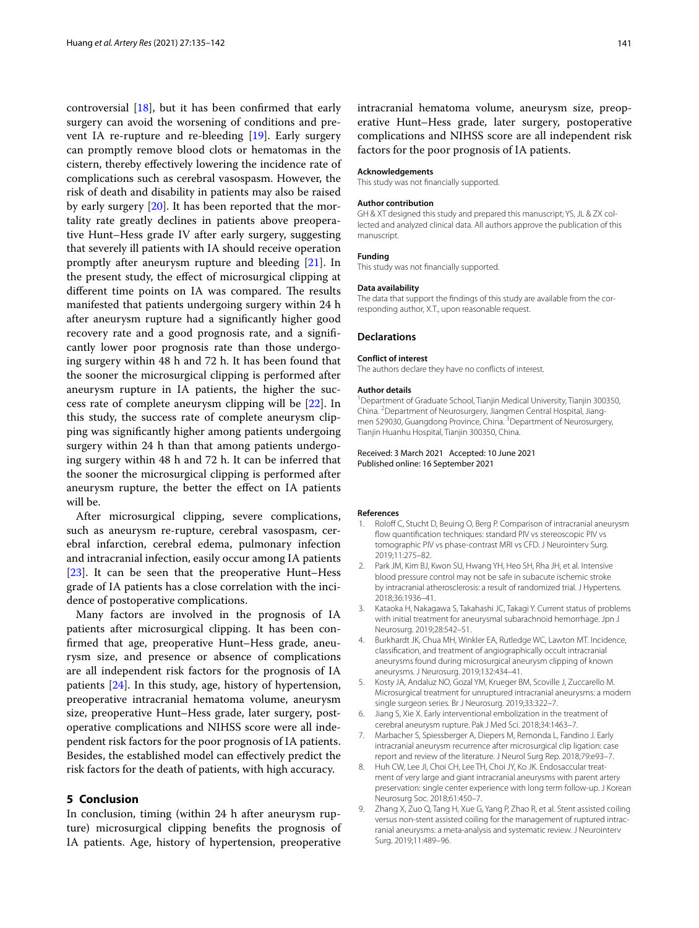controversial [[18\]](#page-7-8), but it has been confrmed that early surgery can avoid the worsening of conditions and prevent IA re-rupture and re-bleeding [\[19\]](#page-7-9). Early surgery can promptly remove blood clots or hematomas in the cistern, thereby efectively lowering the incidence rate of complications such as cerebral vasospasm. However, the risk of death and disability in patients may also be raised by early surgery [[20\]](#page-7-10). It has been reported that the mortality rate greatly declines in patients above preoperative Hunt–Hess grade IV after early surgery, suggesting that severely ill patients with IA should receive operation promptly after aneurysm rupture and bleeding [\[21](#page-7-11)]. In the present study, the efect of microsurgical clipping at different time points on IA was compared. The results manifested that patients undergoing surgery within 24 h after aneurysm rupture had a signifcantly higher good recovery rate and a good prognosis rate, and a signifcantly lower poor prognosis rate than those undergoing surgery within 48 h and 72 h. It has been found that the sooner the microsurgical clipping is performed after aneurysm rupture in IA patients, the higher the success rate of complete aneurysm clipping will be [\[22\]](#page-7-12). In this study, the success rate of complete aneurysm clipping was signifcantly higher among patients undergoing surgery within 24 h than that among patients undergoing surgery within 48 h and 72 h. It can be inferred that the sooner the microsurgical clipping is performed after aneurysm rupture, the better the efect on IA patients will be.

After microsurgical clipping, severe complications, such as aneurysm re-rupture, cerebral vasospasm, cerebral infarction, cerebral edema, pulmonary infection and intracranial infection, easily occur among IA patients [[23\]](#page-7-13). It can be seen that the preoperative Hunt–Hess grade of IA patients has a close correlation with the incidence of postoperative complications.

Many factors are involved in the prognosis of IA patients after microsurgical clipping. It has been confrmed that age, preoperative Hunt–Hess grade, aneurysm size, and presence or absence of complications are all independent risk factors for the prognosis of IA patients [[24\]](#page-7-14). In this study, age, history of hypertension, preoperative intracranial hematoma volume, aneurysm size, preoperative Hunt–Hess grade, later surgery, postoperative complications and NIHSS score were all independent risk factors for the poor prognosis of IA patients. Besides, the established model can efectively predict the risk factors for the death of patients, with high accuracy.

# **5 Conclusion**

In conclusion, timing (within 24 h after aneurysm rupture) microsurgical clipping benefts the prognosis of IA patients. Age, history of hypertension, preoperative

intracranial hematoma volume, aneurysm size, preoperative Hunt–Hess grade, later surgery, postoperative complications and NIHSS score are all independent risk factors for the poor prognosis of IA patients.

#### **Acknowledgements**

This study was not fnancially supported.

#### **Author contribution**

GH & XT designed this study and prepared this manuscript; YS, JL & ZX collected and analyzed clinical data. All authors approve the publication of this manuscript.

### **Funding**

This study was not fnancially supported.

#### **Data availability**

The data that support the fndings of this study are available from the corresponding author, X.T., upon reasonable request.

### **Declarations**

#### **Conflict of interest**

The authors declare they have no conficts of interest.

#### **Author details**

<sup>1</sup> Department of Graduate School, Tianjin Medical University, Tianjin 300350, China. <sup>2</sup> Department of Neurosurgery, Jiangmen Central Hospital, Jiangmen 529030, Guangdong Province, China.<sup>3</sup> Department of Neurosurgery, Tianjin Huanhu Hospital, Tianjin 300350, China.

Received: 3 March 2021 Accepted: 10 June 2021 Published online: 16 September 2021

#### **References**

- <span id="page-6-0"></span>1. Roloff C, Stucht D, Beuing O, Berg P. Comparison of intracranial aneurysm fow quantifcation techniques: standard PIV vs stereoscopic PIV vs tomographic PIV vs phase-contrast MRI vs CFD. J Neurointerv Surg. 2019;11:275–82.
- <span id="page-6-1"></span>2. Park JM, Kim BJ, Kwon SU, Hwang YH, Heo SH, Rha JH, et al. Intensive blood pressure control may not be safe in subacute ischemic stroke by intracranial atherosclerosis: a result of randomized trial. J Hypertens. 2018;36:1936–41.
- <span id="page-6-2"></span>3. Kataoka H, Nakagawa S, Takahashi JC, Takagi Y. Current status of problems with initial treatment for aneurysmal subarachnoid hemorrhage. Jpn J Neurosurg. 2019;28:542–51.
- <span id="page-6-3"></span>4. Burkhardt JK, Chua MH, Winkler EA, Rutledge WC, Lawton MT. Incidence, classifcation, and treatment of angiographically occult intracranial aneurysms found during microsurgical aneurysm clipping of known aneurysms. J Neurosurg. 2019;132:434–41.
- <span id="page-6-4"></span>5. Kosty JA, Andaluz NO, Gozal YM, Krueger BM, Scoville J, Zuccarello M. Microsurgical treatment for unruptured intracranial aneurysms: a modern single surgeon series. Br J Neurosurg. 2019;33:322–7.
- <span id="page-6-5"></span>6. Jiang S, Xie X. Early interventional embolization in the treatment of cerebral aneurysm rupture. Pak J Med Sci. 2018;34:1463–7.
- <span id="page-6-6"></span>7. Marbacher S, Spiessberger A, Diepers M, Remonda L, Fandino J. Early intracranial aneurysm recurrence after microsurgical clip ligation: case report and review of the literature. J Neurol Surg Rep. 2018;79:e93–7.
- <span id="page-6-7"></span>8. Huh CW, Lee JI, Choi CH, Lee TH, Choi JY, Ko JK. Endosaccular treatment of very large and giant intracranial aneurysms with parent artery preservation: single center experience with long term follow-up. J Korean Neurosurg Soc. 2018;61:450–7.
- <span id="page-6-8"></span>9. Zhang X, Zuo Q, Tang H, Xue G, Yang P, Zhao R, et al. Stent assisted coiling versus non-stent assisted coiling for the management of ruptured intracranial aneurysms: a meta-analysis and systematic review. J Neurointerv Surg. 2019;11:489–96.